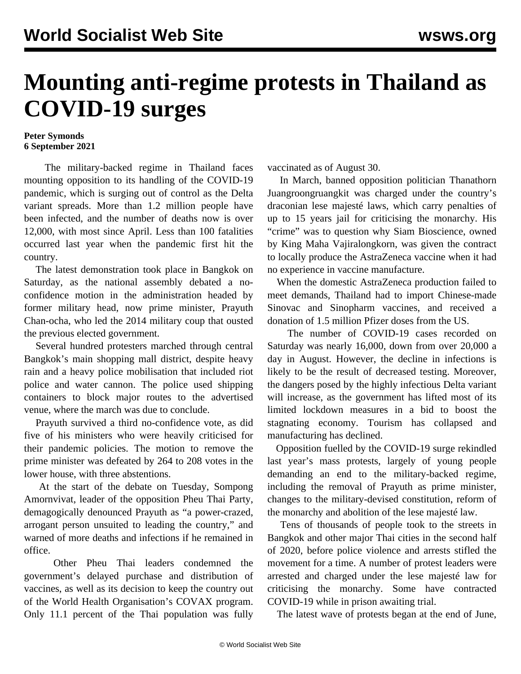## **Mounting anti-regime protests in Thailand as COVID-19 surges**

## **Peter Symonds 6 September 2021**

 The military-backed regime in Thailand faces mounting opposition to its handling of the COVID-19 pandemic, which is surging out of control as the Delta variant spreads. More than 1.2 million people have been infected, and the number of deaths now is over 12,000, with most since April. Less than 100 fatalities occurred last year when the pandemic first hit the country.

 The latest demonstration took place in Bangkok on Saturday, as the national assembly debated a noconfidence motion in the administration headed by former military head, now prime minister, Prayuth Chan-ocha, who led the 2014 military coup that ousted the previous elected government.

 Several hundred protesters marched through central Bangkok's main shopping mall district, despite heavy rain and a heavy police mobilisation that included riot police and water cannon. The police used shipping containers to block major routes to the advertised venue, where the march was due to conclude.

 Prayuth survived a third no-confidence vote, as did five of his ministers who were heavily criticised for their pandemic policies. The motion to remove the prime minister was defeated by 264 to 208 votes in the lower house, with three abstentions.

 At the start of the debate on Tuesday, Sompong Amornvivat, leader of the opposition Pheu Thai Party, demagogically denounced Prayuth as "a power-crazed, arrogant person unsuited to leading the country," and warned of more deaths and infections if he remained in office.

 Other Pheu Thai leaders condemned the government's delayed purchase and distribution of vaccines, as well as its decision to keep the country out of the World Health Organisation's COVAX program. Only 11.1 percent of the Thai population was fully vaccinated as of August 30.

 In March, banned opposition politician Thanathorn Juangroongruangkit was charged under the country's draconian lese majesté laws, which carry penalties of up to 15 years jail for criticising the monarchy. His "crime" was to question why Siam Bioscience, owned by King Maha Vajiralongkorn, was given the contract to locally produce the AstraZeneca vaccine when it had no experience in vaccine manufacture.

 When the domestic AstraZeneca production failed to meet demands, Thailand had to import Chinese-made Sinovac and Sinopharm vaccines, and received a donation of 1.5 million Pfizer doses from the US.

 The number of COVID-19 cases recorded on Saturday was nearly 16,000, down from over 20,000 a day in August. However, the decline in infections is likely to be the result of decreased testing. Moreover, the dangers posed by the highly infectious Delta variant will increase, as the government has lifted most of its limited lockdown measures in a bid to boost the stagnating economy. Tourism has collapsed and manufacturing has declined.

 Opposition fuelled by the COVID-19 surge rekindled last year's mass protests, largely of young people demanding an end to the military-backed regime, including the removal of Prayuth as prime minister, changes to the military-devised constitution, reform of the monarchy and abolition of the lese majesté law.

 Tens of thousands of people took to the streets in Bangkok and other major Thai cities in the second half of 2020, before police violence and arrests stifled the movement for a time. A number of protest leaders were arrested and charged under the lese majesté law for criticising the monarchy. Some have contracted COVID-19 while in prison awaiting trial.

The latest wave of protests began at the end of June,